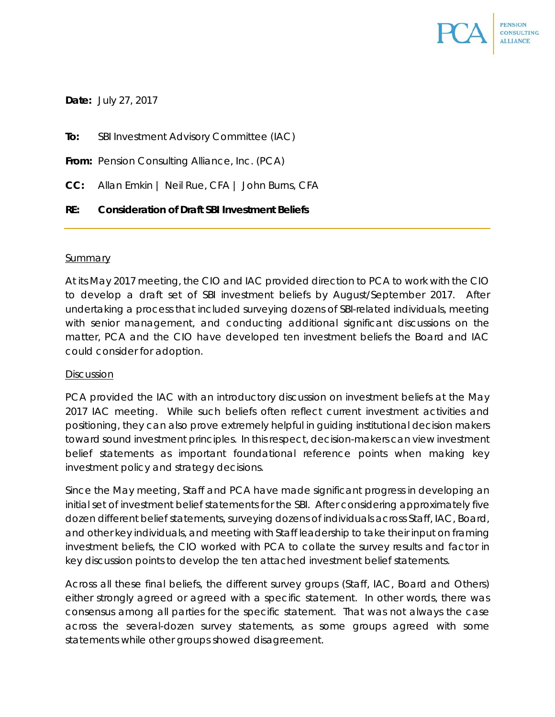

**Date:** July 27, 2017

**To:** SBI Investment Advisory Committee (IAC)

**From:** Pension Consulting Alliance, Inc. (PCA)

**CC:** Allan Emkin | Neil Rue, CFA | John Burns, CFA

**RE: Consideration of Draft SBI Investment Beliefs**

#### **Summary**

At its May 2017 meeting, the CIO and IAC provided direction to PCA to work with the CIO to develop a draft set of SBI investment beliefs by August/September 2017. After undertaking a process that included surveying dozens of SBI-related individuals, meeting with senior management, and conducting additional significant discussions on the matter, PCA and the CIO have developed ten investment beliefs the Board and IAC could consider for adoption.

### Discussion

PCA provided the IAC with an introductory discussion on investment beliefs at the May 2017 IAC meeting. While such beliefs often reflect current investment activities and positioning, they can also prove extremely helpful in guiding institutional decision makers toward sound investment principles. In this respect, decision-makers can view investment belief statements as important foundational reference points when making key investment policy and strategy decisions.

Since the May meeting, Staff and PCA have made significant progress in developing an initial set of investment belief statements for the SBI. After considering approximately five dozen different belief statements, surveying dozens of individuals across Staff, IAC, Board, and other key individuals, and meeting with Staff leadership to take their input on framing investment beliefs, the CIO worked with PCA to collate the survey results and factor in key discussion points to develop the ten attached investment belief statements.

Across all these final beliefs, the different survey groups (Staff, IAC, Board and Others) either strongly agreed or agreed with a specific statement. In other words, there was consensus among all parties for the specific statement. That was not always the case across the several-dozen survey statements, as some groups agreed with some statements while other groups showed disagreement.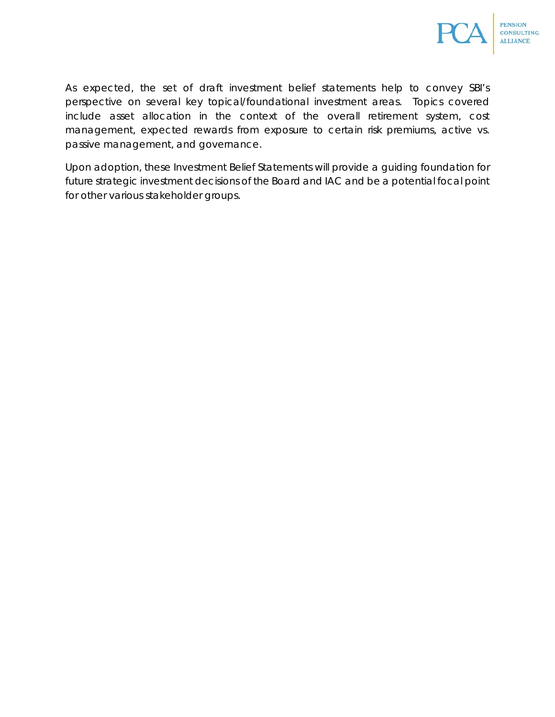

As expected, the set of draft investment belief statements help to convey SBI's perspective on several key topical/foundational investment areas. Topics covered include asset allocation in the context of the overall retirement system, cost management, expected rewards from exposure to certain risk premiums, active vs. passive management, and governance.

Upon adoption, these Investment Belief Statements will provide a guiding foundation for future strategic investment decisions of the Board and IAC and be a potential focal point for other various stakeholder groups.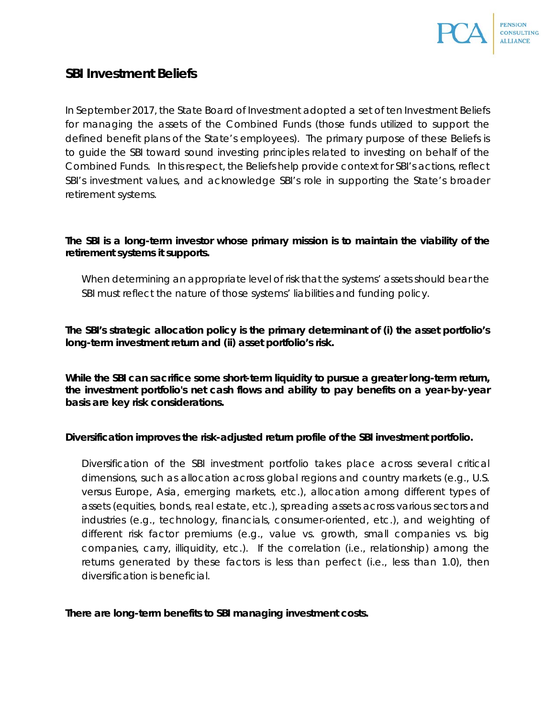

# **SBI Investment Beliefs**

In September 2017, the State Board of Investment adopted a set of ten Investment Beliefs for managing the assets of the Combined Funds (those funds utilized to support the defined benefit plans of the State's employees). The primary purpose of these Beliefs is to guide the SBI toward sound investing principles related to investing on behalf of the Combined Funds. In this respect, the Beliefs help provide context for SBI's actions, reflect SBI's investment values, and acknowledge SBI's role in supporting the State's broader retirement systems.

# **The SBI is a long-term investor whose primary mission is to maintain the viability of the retirement systems it supports.**

*When determining an appropriate level of risk that the systems' assets should bear the SBI must reflect the nature of those systems' liabilities and funding policy.* 

**The SBI's strategic allocation policy is the primary determinant of (i) the asset portfolio's long-term investment return and (ii) asset portfolio's risk.**

**While the SBI can sacrifice some short-term liquidity to pursue a greater long-term return, the investment portfolio's net cash flows and ability to pay benefits on a year-by-year basis are key risk considerations.**

### **Diversification improves the risk-adjusted return profile of the SBI investment portfolio.**

*Diversification of the SBI investment portfolio takes place across several critical dimensions, such as allocation across global regions and country markets (e.g., U.S. versus Europe, Asia, emerging markets, etc.), allocation among different types of assets (equities, bonds, real estate, etc.), spreading assets across various sectors and industries (e.g., technology, financials, consumer-oriented, etc.), and weighting of different risk factor premiums (e.g., value vs. growth, small companies vs. big companies, carry, illiquidity, etc.). If the correlation (i.e., relationship) among the*  returns generated by these factors is less than perfect (i.e., less than 1.0), then *diversification is beneficial.*

### **There are long-term benefits to SBI managing investment costs.**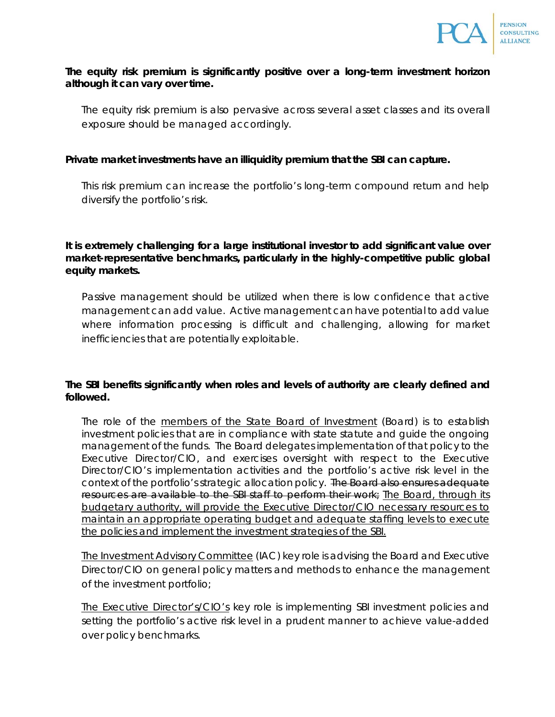

### **The equity risk premium is significantly positive over a long-term investment horizon although it can vary over time.**

*The equity risk premium is also pervasive across several asset classes and its overall exposure should be managed accordingly.*

### **Private market investments have an illiquidity premium that the SBI can capture.**

*This risk premium can increase the portfolio's long-term compound return and help diversify the portfolio's risk.*

**It is extremely challenging for a large institutional investor to add significant value over market-representative benchmarks, particularly in the highly-competitive public global equity markets.**

Passive management should be utilized when there is low confidence that active *management can add value. Active management can have potential to add value*  where information processing is difficult and challenging, allowing for market *inefficiencies that are potentially exploitable.*

# **The SBI benefits significantly when roles and levels of authority are clearly defined and followed.**

*The role of the members of the State Board of Investment (Board) is to establish*  investment policies that are in compliance with state statute and quide the ongoing *management of the funds. The Board delegates implementation of that policy to the Executive Director/CIO, and exercises oversight with respect to the Executive Director/CIO's implementation activities and the portfolio's active risk level in the context of the portfolio's strategic allocation policy. The Board also ensures adequate resources are available to the SBI staff to perform their work; The Board, through its budgetary authority, will provide the Executive Director/CIO necessary resources to maintain an appropriate operating budget and adequate staffing levels to execute the policies and implement the investment strategies of the SBI.*

*The Investment Advisory Committee (IAC) key role is advising the Board and Executive Director/CIO on general policy matters and methods to enhance the management of the investment portfolio;*

*The Executive Director's/CIO's key role is implementing SBI investment policies and setting the portfolio's active risk level in a prudent manner to achieve value-added over policy benchmarks.*